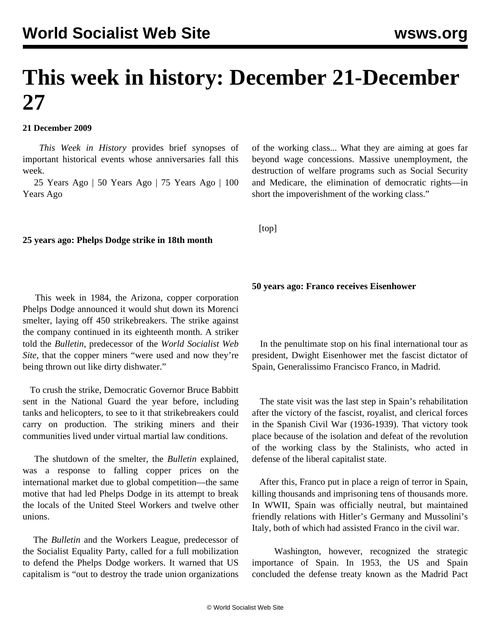# **This week in history: December 21-December 27**

### **21 December 2009**

 *This Week in History* provides brief synopses of important historical events whose anniversaries fall this week.

 25 Years Ago | 50 Years Ago | 75 Years Ago | 100 Years Ago

#### **25 years ago: Phelps Dodge strike in 18th month**

 This week in 1984, the Arizona, copper corporation Phelps Dodge announced it would shut down its Morenci smelter, laying off 450 strikebreakers. The strike against the company continued in its eighteenth month. A striker told the *Bulletin*, predecessor of the *World Socialist Web Site*, that the copper miners "were used and now they're being thrown out like dirty dishwater."

 To crush the strike, Democratic Governor Bruce Babbitt sent in the National Guard the year before, including tanks and helicopters, to see to it that strikebreakers could carry on production. The striking miners and their communities lived under virtual martial law conditions.

 The shutdown of the smelter, the *Bulletin* explained, was a response to falling copper prices on the international market due to global competition—the same motive that had led Phelps Dodge in its attempt to break the locals of the United Steel Workers and twelve other unions.

 The *Bulletin* and the Workers League, predecessor of the Socialist Equality Party, called for a full mobilization to defend the Phelps Dodge workers. It warned that US capitalism is "out to destroy the trade union organizations

of the working class... What they are aiming at goes far beyond wage concessions. Massive unemployment, the destruction of welfare programs such as Social Security and Medicare, the elimination of democratic rights—in short the impoverishment of the working class."

[top]

**50 years ago: Franco receives Eisenhower**

 In the penultimate stop on his final international tour as president, Dwight Eisenhower met the fascist dictator of Spain, Generalissimo Francisco Franco, in Madrid.

 The state visit was the last step in Spain's rehabilitation after the victory of the fascist, royalist, and clerical forces in the Spanish Civil War (1936-1939). That victory took place because of the isolation and defeat of the revolution of the working class by the Stalinists, who acted in defense of the liberal capitalist state.

 After this, Franco put in place a reign of terror in Spain, killing thousands and imprisoning tens of thousands more. In WWII, Spain was officially neutral, but maintained friendly relations with Hitler's Germany and Mussolini's Italy, both of which had assisted Franco in the civil war.

 Washington, however, recognized the strategic importance of Spain. In 1953, the US and Spain concluded the defense treaty known as the Madrid Pact